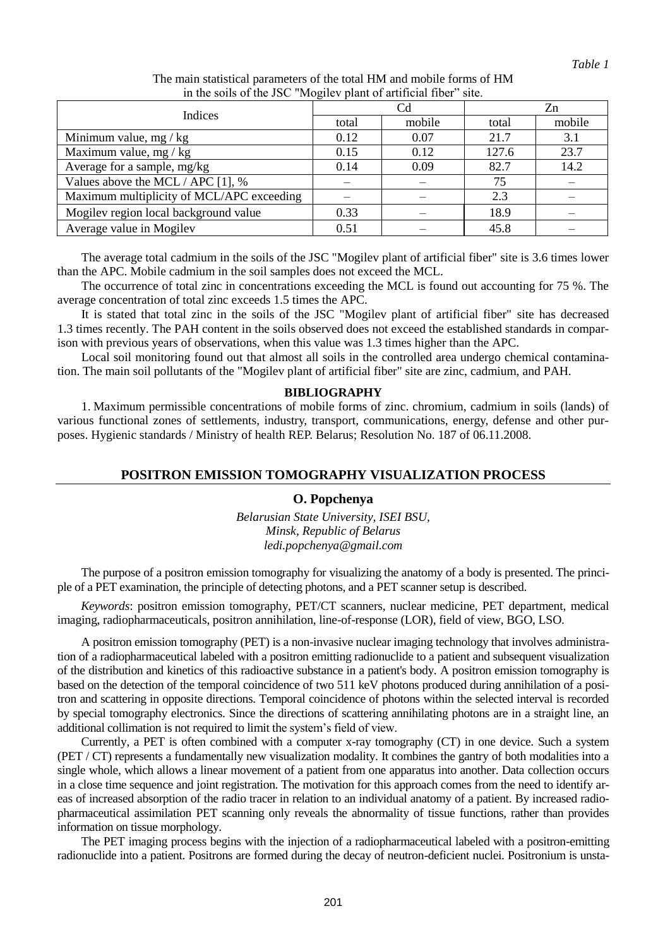| in the bond of the special mogher plant of arthrown floor bite. |       |        |       |        |
|-----------------------------------------------------------------|-------|--------|-------|--------|
| Indices                                                         | Cd    |        | Zn    |        |
|                                                                 | total | mobile | total | mobile |
| Minimum value, $mg/kg$                                          | 0.12  | 0.07   | 21.7  | 3.1    |
| Maximum value, mg / $kg$                                        | 0.15  | 0.12   | 127.6 | 23.7   |
| Average for a sample, mg/kg                                     | 0.14  | 0.09   | 82.7  | 14.2   |
| Values above the MCL / APC [1], %                               |       |        | 75    |        |
| Maximum multiplicity of MCL/APC exceeding                       |       |        | 2.3   |        |
| Mogilev region local background value                           | 0.33  |        | 18.9  |        |
| Average value in Mogilev                                        | 0.51  |        | 45.8  |        |

The main statistical parameters of the total HM and mobile forms of HM in the soils of the JSC "Mogilev plant of artificial fiber" site.

The average total cadmium in the soils of the JSC "Mogilev plant of artificial fiber" site is 3.6 times lower than the APC. Mobile cadmium in the soil samples does not exceed the MCL.

The occurrence of total zinc in concentrations exceeding the MCL is found out accounting for 75 %. The average concentration of total zinc exceeds 1.5 times the APC.

It is stated that total zinc in the soils of the JSC "Mogilev plant of artificial fiber" site has decreased 1.3 times recently. The PAH content in the soils observed does not exceed the established standards in comparison with previous years of observations, when this value was 1.3 times higher than the APC.

Local soil monitoring found out that almost all soils in the controlled area undergo chemical contamination. The main soil pollutants of the "Mogilev plant of artificial fiber" site are zinc, cadmium, and PAH.

#### **BIBLIOGRAPHY**

1. Maximum permissible concentrations of mobile forms of zinc. chromium, cadmium in soils (lands) of various functional zones of settlements, industry, transport, communications, energy, defense and other purposes. Hygienic standards / Ministry of health REP. Belarus; Resolution No. 187 of 06.11.2008.

# **POSITRON EMISSION TOMOGRAPHY VISUALIZATION PROCESS**

### **O. Popchenya**

*Belarusian State University, ISEI BSU, Minsk, Republic of Belarus ledi.popchenya@gmail.com*

The purpose of a positron emission tomography for visualizing the anatomy of a body is presented. The principle of a PET examination, the principle of detecting photons, and a PET scanner setup is described.

*Keywords*: positron emission tomography, PET/CT scanners, nuclear medicine, PET department, medical imaging, radiopharmaceuticals, positron annihilation, line-of-response (LOR), field of view, BGO, LSO.

A positron emission tomography (PET) is a non-invasive nuclear imaging technology that involves administration of a radiopharmaceutical labeled with a positron emitting radionuclide to a patient and subsequent visualization of the distribution and kinetics of this radioactive substance in a patient's body. A positron emission tomography is based on the detection of the temporal coincidence of two 511 keV photons produced during annihilation of a positron and scattering in opposite directions. Temporal coincidence of photons within the selected interval is recorded by special tomography electronics. Since the directions of scattering annihilating photons are in a straight line, an additional collimation is not required to limit the system's field of view.

Currently, a PET is often combined with a computer x-ray tomography (CT) in one device. Such a system (PET / CT) represents a fundamentally new visualization modality. It combines the gantry of both modalities into a single whole, which allows a linear movement of a patient from one apparatus into another. Data collection occurs in a close time sequence and joint registration. The motivation for this approach comes from the need to identify areas of increased absorption of the radio tracer in relation to an individual anatomy of a patient. By increased radiopharmaceutical assimilation PET scanning only reveals the abnormality of tissue functions, rather than provides information on tissue morphology.

The PET imaging process begins with the injection of a radiopharmaceutical labeled with a positron-emitting radionuclide into a patient. Positrons are formed during the decay of neutron-deficient nuclei. Positronium is unsta